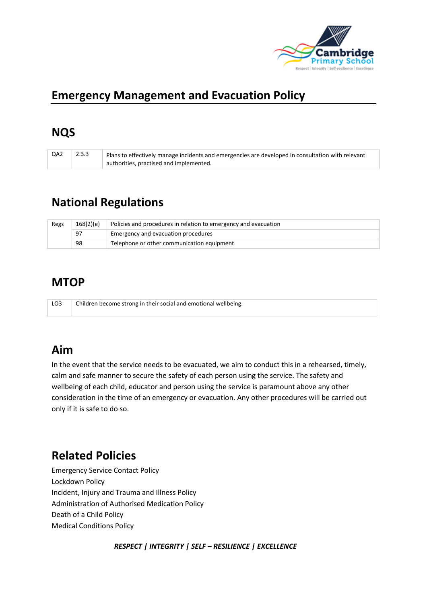

# **Emergency Management and Evacuation Policy**

# **NQS**

| QA2 | 2.3.3 | Plans to effectively manage incidents and emergencies are developed in consultation with relevant |
|-----|-------|---------------------------------------------------------------------------------------------------|
|     |       | authorities, practised and implemented.                                                           |

# **National Regulations**

| Regs | 168(2)(e) | Policies and procedures in relation to emergency and evacuation |
|------|-----------|-----------------------------------------------------------------|
|      | 97        | Emergency and evacuation procedures                             |
|      | 98        | Telephone or other communication equipment                      |

# **MTOP**

| LO <sub>3</sub><br><sup>1</sup> Children become strong in their social and emotional wellbeing. |  |
|-------------------------------------------------------------------------------------------------|--|
|                                                                                                 |  |

## **Aim**

In the event that the service needs to be evacuated, we aim to conduct this in a rehearsed, timely, calm and safe manner to secure the safety of each person using the service. The safety and wellbeing of each child, educator and person using the service is paramount above any other consideration in the time of an emergency or evacuation. Any other procedures will be carried out only if it is safe to do so.

# **Related Policies**

Emergency Service Contact Policy Lockdown Policy Incident, Injury and Trauma and Illness Policy Administration of Authorised Medication Policy Death of a Child Policy Medical Conditions Policy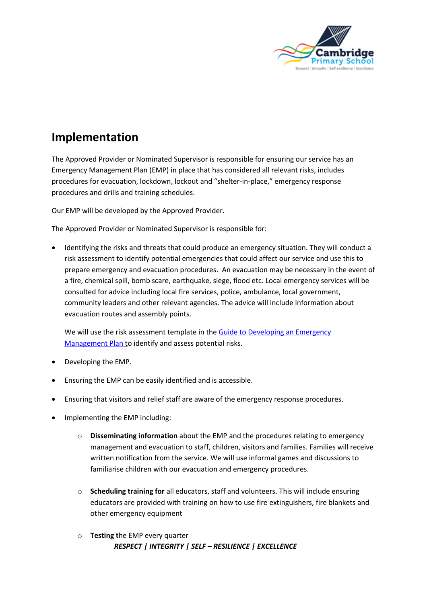

## **Implementation**

The Approved Provider or Nominated Supervisor is responsible for ensuring our service has an Emergency Management Plan (EMP) in place that has considered all relevant risks, includes procedures for evacuation, lockdown, lockout and "shelter-in-place," emergency response procedures and drills and training schedules.

Our EMP will be developed by the Approved Provider.

The Approved Provider or Nominated Supervisor is responsible for:

• Identifying the risks and threats that could produce an emergency situation. They will conduct a risk assessment to identify potential emergencies that could affect our service and use this to prepare emergency and evacuation procedures. An evacuation may be necessary in the event of a fire, chemical spill, bomb scare, earthquake, siege, flood etc. Local emergency services will be consulted for advice including local fire services, police, ambulance, local government, community leaders and other relevant agencies. The advice will include information about evacuation routes and assembly points.

We will use the risk assessment template in the Guide to Developing an Emergency [Management Plan to](http://www.education.vic.gov.au/childhood/providers/support/Pages/emergency.aspx) identify and assess potential risks.

- Developing the EMP.
- Ensuring the EMP can be easily identified and is accessible.
- Ensuring that visitors and relief staff are aware of the emergency response procedures.
- Implementing the EMP including:
	- o **Disseminating information** about the EMP and the procedures relating to emergency management and evacuation to staff, children, visitors and families. Families will receive written notification from the service. We will use informal games and discussions to familiarise children with our evacuation and emergency procedures.
	- o **Scheduling training for** all educators, staff and volunteers. This will include ensuring educators are provided with training on how to use fire extinguishers, fire blankets and other emergency equipment
	- *RESPECT | INTEGRITY | SELF – RESILIENCE | EXCELLENCE*  o **Testing t**he EMP every quarter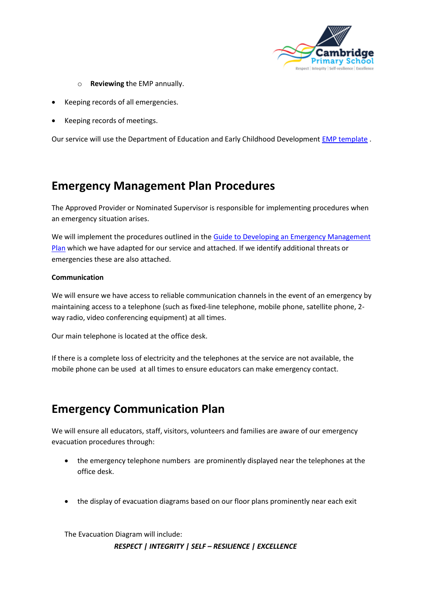

- o **Reviewing t**he EMP annually.
- Keeping records of all emergencies.
- Keeping records of meetings.

Our service will use the Department of Education and Early Childhood Development [EMP template](http://www.education.vic.gov.au/childhood/providers/support/Pages/emergency.aspx).

## **Emergency Management Plan Procedures**

The Approved Provider or Nominated Supervisor is responsible for implementing procedures when an emergency situation arises.

We will implement the procedures outlined in the Guide to Developing an Emergency Management [Plan](http://www.education.vic.gov.au/childhood/providers/support/Pages/emergency.aspx) which we have adapted for our service and attached. If we identify additional threats or emergencies these are also attached.

#### **Communication**

We will ensure we have access to reliable communication channels in the event of an emergency by maintaining access to a telephone (such as fixed-line telephone, mobile phone, satellite phone, 2 way radio, video conferencing equipment) at all times.

Our main telephone is located at the office desk.

If there is a complete loss of electricity and the telephones at the service are not available, the mobile phone can be used at all times to ensure educators can make emergency contact.

## **Emergency Communication Plan**

We will ensure all educators, staff, visitors, volunteers and families are aware of our emergency evacuation procedures through:

- the emergency telephone numbers are prominently displayed near the telephones at the office desk.
- the display of evacuation diagrams based on our floor plans prominently near each exit

The Evacuation Diagram will include: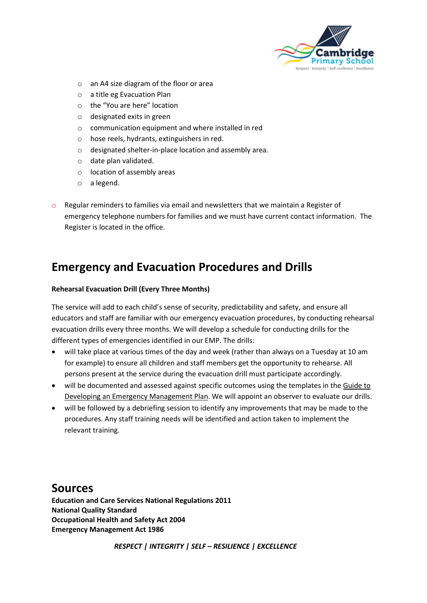

- o an A4 size diagram of the floor or area
- o a title eg Evacuation Plan
- o the "You are here" location
- o designated exits in green
- o communication equipment and where installed in red
- o hose reels, hydrants, extinguishers in red.
- o designated shelter-in-place location and assembly area.
- o date plan validated.
- o location of assembly areas
- o a legend.
- $\circ$  Regular reminders to families via email and newsletters that we maintain a Register of emergency telephone numbers for families and we must have current contact information. The Register is located in the office.

## **Emergency and Evacuation Procedures and Drills**

#### **Rehearsal Evacuation Drill (Every Three Months)**

The service will add to each child's sense of security, predictability and safety, and ensure all educators and staff are familiar with our emergency evacuation procedures, by conducting rehearsal evacuation drills every three months. We will develop a schedule for conducting drills for the different types of emergencies identified in our EMP. The drills:

- will take place at various times of the day and week (rather than always on a Tuesday at 10 am for example) to ensure all children and staff members get the opportunity to rehearse. All persons present at the service during the evacuation drill must participate accordingly.
- will be documented and assessed against specific outcomes using the templates in the Guide to [Developing an Emergency Management Plan.](http://www.education.vic.gov.au/childhood/providers/support/Pages/emergency.aspx) We will appoint an observer to evaluate our drills.
- will be followed by a debriefing session to identify any improvements that may be made to the procedures. Any staff training needs will be identified and action taken to implement the relevant training.

### **Sources**

**Education and Care Services National Regulations 2011 National Quality Standard Occupational Health and Safety Act 2004 Emergency Management Act 1986**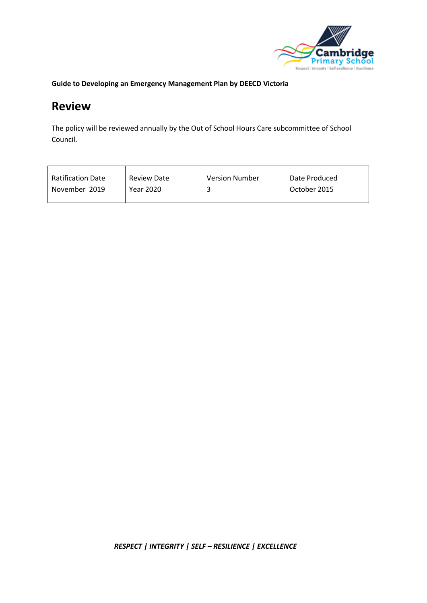

#### **Guide to Developing an Emergency Management Plan by DEECD Victoria**

### **Review**

The policy will be reviewed annually by the Out of School Hours Care subcommittee of School Council.

| <b>Ratification Date</b> | <b>Review Date</b> | <b>Version Number</b> | Date Produced |
|--------------------------|--------------------|-----------------------|---------------|
| November 2019            | Year 2020          |                       | October 2015  |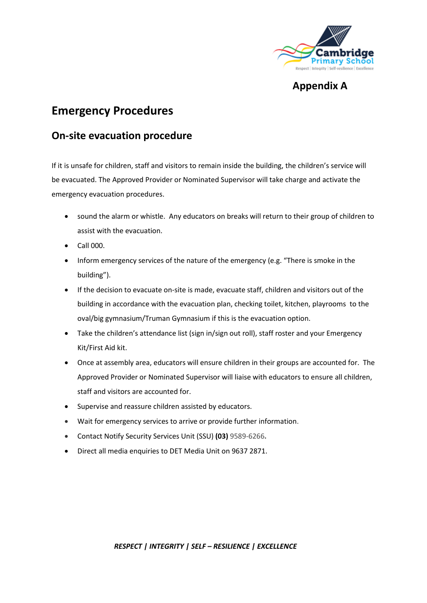

**Appendix A**

## **Emergency Procedures**

### **On-site evacuation procedure**

If it is unsafe for children, staff and visitors to remain inside the building, the children's service will be evacuated. The Approved Provider or Nominated Supervisor will take charge and activate the emergency evacuation procedures.

- sound the alarm or whistle. Any educators on breaks will return to their group of children to assist with the evacuation.
- Call 000.
- Inform emergency services of the nature of the emergency (e.g. "There is smoke in the building").
- If the decision to evacuate on-site is made, evacuate staff, children and visitors out of the building in accordance with the evacuation plan, checking toilet, kitchen, playrooms to the oval/big gymnasium/Truman Gymnasium if this is the evacuation option.
- Take the children's attendance list (sign in/sign out roll), staff roster and your Emergency Kit/First Aid kit.
- Once at assembly area, educators will ensure children in their groups are accounted for. The Approved Provider or Nominated Supervisor will liaise with educators to ensure all children, staff and visitors are accounted for.
- Supervise and reassure children assisted by educators.
- Wait for emergency services to arrive or provide further information.
- Contact Notify Security Services Unit (SSU) **(03)** 9589-6266**.**
- Direct all media enquiries to DET Media Unit on 9637 2871.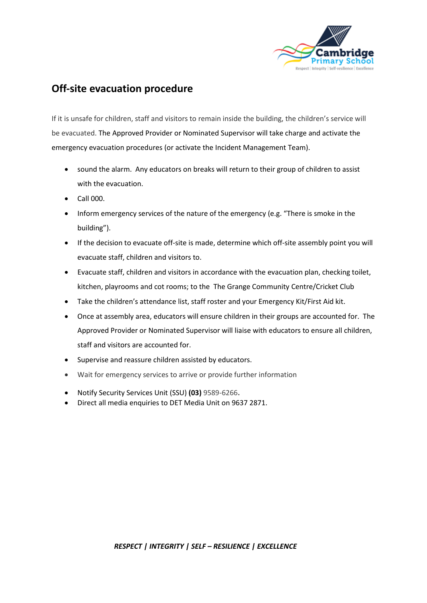

### **Off-site evacuation procedure**

If it is unsafe for children, staff and visitors to remain inside the building, the children's service will be evacuated. The Approved Provider or Nominated Supervisor will take charge and activate the emergency evacuation procedures (or activate the Incident Management Team).

- sound the alarm. Any educators on breaks will return to their group of children to assist with the evacuation.
- Call 000.
- Inform emergency services of the nature of the emergency (e.g. "There is smoke in the building").
- If the decision to evacuate off-site is made, determine which off-site assembly point you will evacuate staff, children and visitors to.
- Evacuate staff, children and visitors in accordance with the evacuation plan, checking toilet, kitchen, playrooms and cot rooms; to the The Grange Community Centre/Cricket Club
- Take the children's attendance list, staff roster and your Emergency Kit/First Aid kit.
- Once at assembly area, educators will ensure children in their groups are accounted for. The Approved Provider or Nominated Supervisor will liaise with educators to ensure all children, staff and visitors are accounted for.
- Supervise and reassure children assisted by educators.
- Wait for emergency services to arrive or provide further information
- Notify Security Services Unit (SSU) **(03)** 9589-6266**.**
- Direct all media enquiries to DET Media Unit on 9637 2871.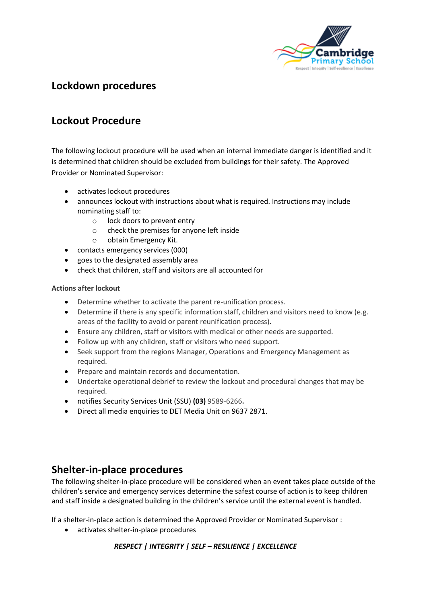

### **Lockdown procedures**

### **Lockout Procedure**

The following lockout procedure will be used when an internal immediate danger is identified and it is determined that children should be excluded from buildings for their safety. The Approved Provider or Nominated Supervisor:

- activates lockout procedures
- announces lockout with instructions about what is required. Instructions may include nominating staff to:
	- o lock doors to prevent entry
	- o check the premises for anyone left inside
	- o obtain Emergency Kit.
- contacts emergency services (000)
- goes to the designated assembly area
- check that children, staff and visitors are all accounted for

#### **Actions after lockout**

- Determine whether to activate the parent re-unification process.
- Determine if there is any specific information staff, children and visitors need to know (e.g. areas of the facility to avoid or parent reunification process).
- Ensure any children, staff or visitors with medical or other needs are supported.
- Follow up with any children, staff or visitors who need support.
- Seek support from the regions Manager, Operations and Emergency Management as required.
- Prepare and maintain records and documentation.
- Undertake operational debrief to review the lockout and procedural changes that may be required.
- notifies Security Services Unit (SSU) **(03)** 9589-6266**.**
- Direct all media enquiries to DET Media Unit on 9637 2871.

### **Shelter-in-place procedures**

The following shelter-in-place procedure will be considered when an event takes place outside of the children's service and emergency services determine the safest course of action is to keep children and staff inside a designated building in the children's service until the external event is handled.

If a shelter-in-place action is determined the Approved Provider or Nominated Supervisor :

• activates shelter-in-place procedures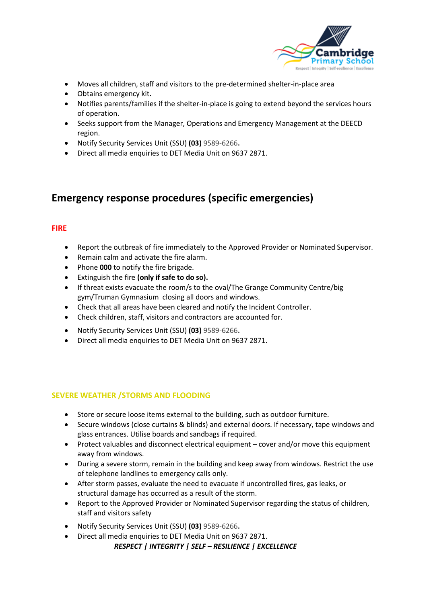

- Moves all children, staff and visitors to the pre-determined shelter-in-place area
- Obtains emergency kit.
- Notifies parents/families if the shelter-in-place is going to extend beyond the services hours of operation.
- Seeks support from the Manager, Operations and Emergency Management at the DEECD region.
- Notify Security Services Unit (SSU) **(03)** 9589-6266**.**
- Direct all media enquiries to DET Media Unit on 9637 2871.

### **Emergency response procedures (specific emergencies)**

#### **FIRE**

- Report the outbreak of fire immediately to the Approved Provider or Nominated Supervisor.
- Remain calm and activate the fire alarm.
- Phone **000** to notify the fire brigade.
- Extinguish the fire **(only if safe to do so).**
- If threat exists evacuate the room/s to the oval/The Grange Community Centre/big gym/Truman Gymnasium closing all doors and windows.
- Check that all areas have been cleared and notify the Incident Controller.
- Check children, staff, visitors and contractors are accounted for.
- Notify Security Services Unit (SSU) **(03)** 9589-6266**.**
- Direct all media enquiries to DET Media Unit on 9637 2871.

#### **SEVERE WEATHER /STORMS AND FLOODING**

- Store or secure loose items external to the building, such as outdoor furniture.
- Secure windows (close curtains & blinds) and external doors. If necessary, tape windows and glass entrances. Utilise boards and sandbags if required.
- Protect valuables and disconnect electrical equipment cover and/or move this equipment away from windows.
- During a severe storm, remain in the building and keep away from windows. Restrict the use of telephone landlines to emergency calls only.
- After storm passes, evaluate the need to evacuate if uncontrolled fires, gas leaks, or structural damage has occurred as a result of the storm.
- Report to the Approved Provider or Nominated Supervisor regarding the status of children, staff and visitors safety
- Notify Security Services Unit (SSU) **(03)** 9589-6266**.**
- Direct all media enquiries to DET Media Unit on 9637 2871.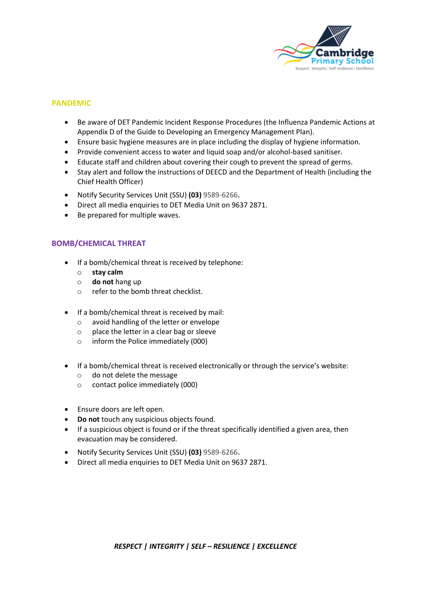

#### **PANDEMIC**

- Be aware of DET Pandemic Incident Response Procedures (the Influenza Pandemic Actions at Appendix D of the Guide to Developing an Emergency Management Plan).
- Ensure basic hygiene measures are in place including the display of hygiene information.
- Provide convenient access to water and liquid soap and/or alcohol-based sanitiser.
- Educate staff and children about covering their cough to prevent the spread of germs.
- Stay alert and follow the instructions of DEECD and the Department of Health (including the Chief Health Officer)
- Notify Security Services Unit (SSU) **(03)** 9589-6266**.**
- Direct all media enquiries to DET Media Unit on 9637 2871.
- Be prepared for multiple waves.

#### **BOMB/CHEMICAL THREAT**

- If a bomb/chemical threat is received by telephone:
	- o **stay calm**
	- o **do not** hang up
	- o refer to the bomb threat checklist.
- If a bomb/chemical threat is received by mail:
	- o avoid handling of the letter or envelope
	- o place the letter in a clear bag or sleeve
	- o inform the Police immediately (000)
- If a bomb/chemical threat is received electronically or through the service's website:
	- o do not delete the message
	- o contact police immediately (000)
- Ensure doors are left open.
- **Do not** touch any suspicious objects found.
- If a suspicious object is found or if the threat specifically identified a given area, then evacuation may be considered.
- Notify Security Services Unit (SSU) **(03)** 9589-6266**.**
- Direct all media enquiries to DET Media Unit on 9637 2871.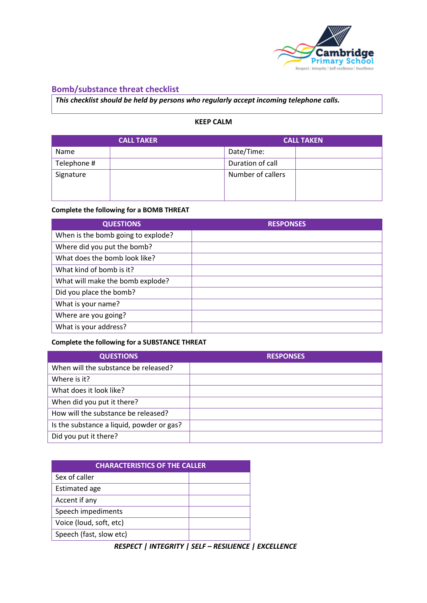

#### **Bomb/substance threat checklist**

*This checklist should be held by persons who regularly accept incoming telephone calls.*

#### **KEEP CALM**

|             | <b>CALL TAKER</b> |                   | <b>CALL TAKEN</b> |
|-------------|-------------------|-------------------|-------------------|
| Name        |                   | Date/Time:        |                   |
| Telephone # |                   | Duration of call  |                   |
| Signature   |                   | Number of callers |                   |

#### **Complete the following for a BOMB THREAT**

| <b>QUESTIONS</b>                   | <b>RESPONSES</b> |
|------------------------------------|------------------|
| When is the bomb going to explode? |                  |
| Where did you put the bomb?        |                  |
| What does the bomb look like?      |                  |
| What kind of bomb is it?           |                  |
| What will make the bomb explode?   |                  |
| Did you place the bomb?            |                  |
| What is your name?                 |                  |
| Where are you going?               |                  |
| What is your address?              |                  |

#### **Complete the following for a SUBSTANCE THREAT**

| <b>QUESTIONS</b>                          | <b>RESPONSES</b> |
|-------------------------------------------|------------------|
| When will the substance be released?      |                  |
| Where is it?                              |                  |
| What does it look like?                   |                  |
| When did you put it there?                |                  |
| How will the substance be released?       |                  |
| Is the substance a liquid, powder or gas? |                  |
| Did you put it there?                     |                  |

| <b>CHARACTERISTICS OF THE CALLER</b> |  |  |
|--------------------------------------|--|--|
| Sex of caller                        |  |  |
| Estimated age                        |  |  |
| Accent if any                        |  |  |
| Speech impediments                   |  |  |
| Voice (loud, soft, etc)              |  |  |
| Speech (fast, slow etc)              |  |  |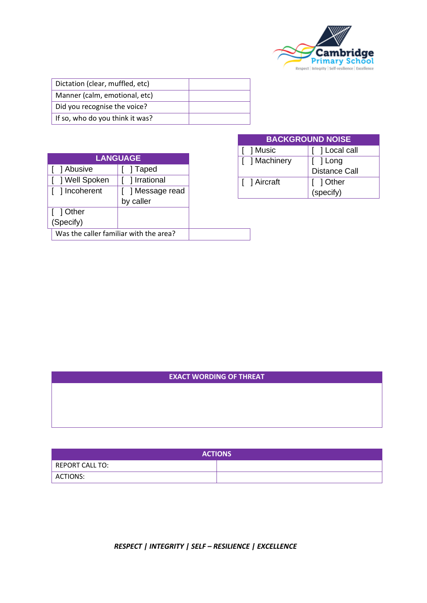

| Dictation (clear, muffled, etc) |  |
|---------------------------------|--|
| Manner (calm, emotional, etc)   |  |
| Did you recognise the voice?    |  |
| If so, who do you think it was? |  |

| <b>LANGUAGE</b>                        |                |  |
|----------------------------------------|----------------|--|
| Abusive                                | ] Taped        |  |
| Well Spoken                            | 1 Irrational   |  |
| 1 Incoherent                           | ] Message read |  |
| by caller                              |                |  |
| [ ] Other                              |                |  |
| (Specify)                              |                |  |
| Was the caller familiar with the area? |                |  |

| <b>BACKGROUND NOISE</b> |                      |  |  |
|-------------------------|----------------------|--|--|
| ] Music                 | 1 Local call         |  |  |
| ] Machinery             | ] Long               |  |  |
|                         | <b>Distance Call</b> |  |  |
| [ ] Aircraft            | [ ] Other            |  |  |
|                         | .<br>(specify)       |  |  |

#### **EXACT WORDING OF THREAT**

| <b>ACTIONS</b>  |  |  |  |
|-----------------|--|--|--|
| REPORT CALL TO: |  |  |  |
| ACTIONS:        |  |  |  |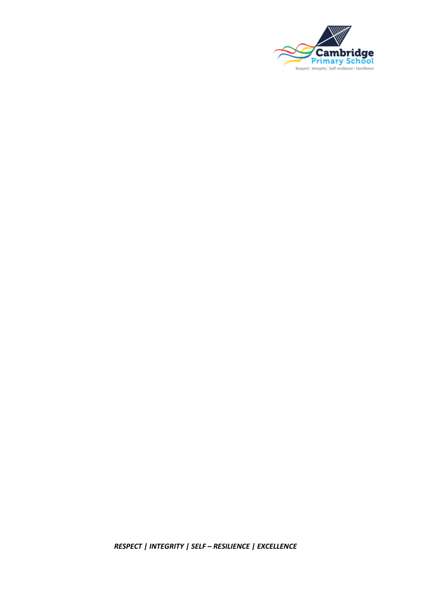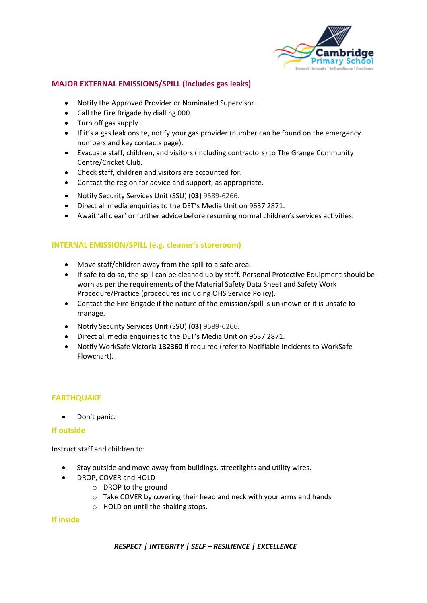

#### **MAJOR EXTERNAL EMISSIONS/SPILL (includes gas leaks)**

- Notify the Approved Provider or Nominated Supervisor.
- Call the Fire Brigade by dialling 000.
- Turn off gas supply.
- If it's a gas leak onsite, notify your gas provider (number can be found on the emergency numbers and key contacts page).
- Evacuate staff, children, and visitors (including contractors) to The Grange Community Centre/Cricket Club.
- Check staff, children and visitors are accounted for.
- Contact the region for advice and support, as appropriate.
- Notify Security Services Unit (SSU) **(03)** 9589-6266**.**
- Direct all media enquiries to the DET's Media Unit on 9637 2871.
- Await 'all clear' or further advice before resuming normal children's services activities.

#### **INTERNAL EMISSION/SPILL (e.g. cleaner's storeroom)**

- Move staff/children away from the spill to a safe area.
- If safe to do so, the spill can be cleaned up by staff. Personal Protective Equipment should be worn as per the requirements of the Material Safety Data Sheet and Safety Work Procedure/Practice (procedures including OHS Service Policy).
- Contact the Fire Brigade if the nature of the emission/spill is unknown or it is unsafe to manage.
- Notify Security Services Unit (SSU) **(03)** 9589-6266**.**
- Direct all media enquiries to the DET's Media Unit on 9637 2871.
- Notify WorkSafe Victoria **132360** if required (refer to Notifiable Incidents to WorkSafe Flowchart).

#### **EARTHQUAKE**

• Don't panic.

#### **If outside**

Instruct staff and children to:

- Stay outside and move away from buildings, streetlights and utility wires.
- DROP, COVER and HOLD
	- o DROP to the ground
	- o Take COVER by covering their head and neck with your arms and hands
	- o HOLD on until the shaking stops.

#### **If inside**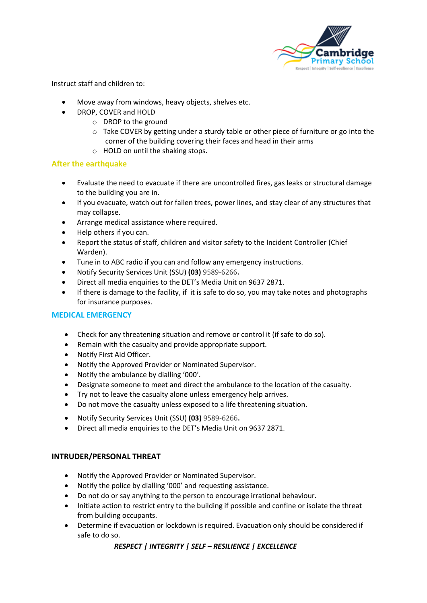

Instruct staff and children to:

- Move away from windows, heavy objects, shelves etc.
- DROP, COVER and HOLD
	- o DROP to the ground
		- o Take COVER by getting under a sturdy table or other piece of furniture or go into the corner of the building covering their faces and head in their arms
		- o HOLD on until the shaking stops.

#### **After the earthquake**

- Evaluate the need to evacuate if there are uncontrolled fires, gas leaks or structural damage to the building you are in.
- If you evacuate, watch out for fallen trees, power lines, and stay clear of any structures that may collapse.
- Arrange medical assistance where required.
- Help others if you can.
- Report the status of staff, children and visitor safety to the Incident Controller (Chief Warden).
- Tune in to ABC radio if you can and follow any emergency instructions.
- Notify Security Services Unit (SSU) **(03)** 9589-6266**.**
- Direct all media enquiries to the DET's Media Unit on 9637 2871.
- If there is damage to the facility, if it is safe to do so, you may take notes and photographs for insurance purposes.

#### **MEDICAL EMERGENCY**

- Check for any threatening situation and remove or control it (if safe to do so).
- Remain with the casualty and provide appropriate support.
- Notify First Aid Officer.
- Notify the Approved Provider or Nominated Supervisor.
- Notify the ambulance by dialling '000'.
- Designate someone to meet and direct the ambulance to the location of the casualty.
- Try not to leave the casualty alone unless emergency help arrives.
- Do not move the casualty unless exposed to a life threatening situation.
- Notify Security Services Unit (SSU) **(03)** 9589-6266**.**
- Direct all media enquiries to the DET's Media Unit on 9637 2871.

#### **INTRUDER/PERSONAL THREAT**

- Notify the Approved Provider or Nominated Supervisor.
- Notify the police by dialling '000' and requesting assistance.
- Do not do or say anything to the person to encourage irrational behaviour.
- Initiate action to restrict entry to the building if possible and confine or isolate the threat from building occupants.
- Determine if evacuation or lockdown is required. Evacuation only should be considered if safe to do so.